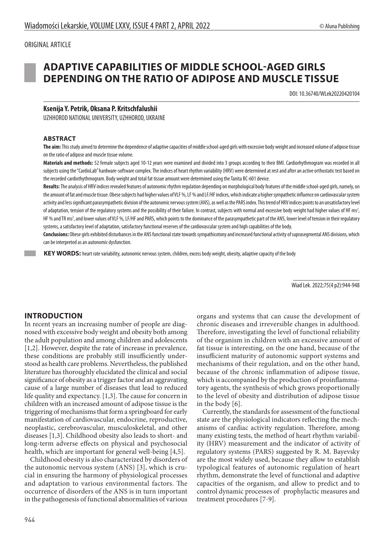# ORIGINAL ARTICLE

# **ADAPTIVE CAPABILITIES OF MIDDLE SCHOOL-AGED GIRLS DEPENDING ON THE RATIO OF ADIPOSE AND MUSCLE TISSUE**

DOI: 10.36740/WLek20220420104

# **Ksenija Y. Petrik, Oksana P. Kritschfalushii**

UZHHOROD NATIONAL UNIVERSITY, UZHHOROD, UKRAINE

#### **ABSTRACT**

**The aim:** This study aimed to determine the dependence of adaptive capacities of middle school-aged girls with excessive body weight and increased volume of adipose tissue on the ratio of adipose and muscle tissue volume.

**Materials and methods:** 52 female subjects aged 10-12 years were examined and divided into 3 groups according to their BMI. Cardiorhythmogram was recorded in all subjects using the "CardioLab" hardware-software complex. The indices of heart rhythm variability (HRV) were determined at rest and after an active orthostatic test based on the recorded cardiothythmogram. Body weight and total fat tissue amount were determined using the Tanita BC-601 device.

**Results:** The analysis of HRV indices revealed features of autonomic rhythm regulation depending on morphological body features of the middle school-aged girls, namely, on the amount of fat and muscle tissue. Obese subjects had higher values of VLF %, LF % and LF/HF indices, which indicate a higher sympathetic influence on cardiovascular system activity and less significant parasympathetic division of the autonomic nervous system (ANS), as well as the PARS index. This trend of HRV indices points to an unsatisfactory level of adaptation, tension of the regulatory systems and the possibility of their failure. In contrast, subjects with normal and excessive body weight had higher values of HF ms<sup>2</sup>, HF % and TR ms<sup>2</sup>, and lower values of VLF %, LF/HF and PARS, which points to the dominance of the parasympathetic part of the ANS, lower level of tension in their regulatory systems, a satisfactory level of adaptation, satisfactory functional reserves of the cardiovascular system and high capabilities of the body.

**Conclusions:** Obese girls exhibited disturbances in the ANS functional state towards sympathicotony and increased functional activity of suprasegmental ANS divisions, which can be interpreted as an autonomic dysfunction.

 **KEY WORDS:** heart rate variability, autonomic nervous system, children, excess body weight, obesity, adaptive capacity of the body

Wiad Lek. 2022;75(4 p2):944-948

# **INTRODUCTION**

In recent years an increasing number of people are diagnosed with excessive body weight and obesity both among the adult population and among children and adolescents [1,2]. However, despite the rate of increase in prevalence, these conditions are probably still insufficiently understood as health care problems. Nevertheless, the published literature has thoroughly elucidated the clinical and social significance of obesity as a trigger factor and an aggravating cause of a large number of diseases that lead to reduced life quality and expectancy. [1,3]. The cause for concern in children with an increased amount of adipose tissue is the triggering of mechanisms that form a springboard for early manifestation of cardiovascular, endocrine, reproductive, neoplastic, cerebrovascular, musculoskeletal, and other diseases [1,3]. Childhood obesity also leads to short- and long-term adverse effects on physical and psychosocial health, which are important for general well-being [4,5].

Childhood obesity is also characterized by disorders of the autonomic nervous system (ANS) [3], which is crucial in ensuring the harmony of physiological processes and adaptation to various environmental factors. The occurrence of disorders of the ANS is in turn important in the pathogenesis of functional abnormalities of various

organs and systems that can cause the development of chronic diseases and irreversible changes in adulthood. Therefore, investigating the level of functional reliability of the organism in children with an excessive amount of fat tissue is interesting, on the one hand, because of the insufficient maturity of autonomic support systems and mechanisms of their regulation, and on the other hand, because of the chronic inflammation of adipose tissue, which is accompanied by the production of proinflammatory agents, the synthesis of which grows proportionally to the level of obesity and distribution of adipose tissue in the body [6].

Currently, the standards for assessment of the functional state are the physiological indicators reflecting the mechanisms of cardiac activity regulation. Therefore, among many existing tests, the method of heart rhythm variability (HRV) measurement and the indicator of activity of regulatory systems (PARS) suggested by R. M. Bayevsky are the most widely used, because they allow to establish typological features of autonomic regulation of heart rhythm, demonstrate the level of functional and adaptive capacities of the organism, and allow to predict and to control dynamic processes of prophylactic measures and treatment procedures [7-9].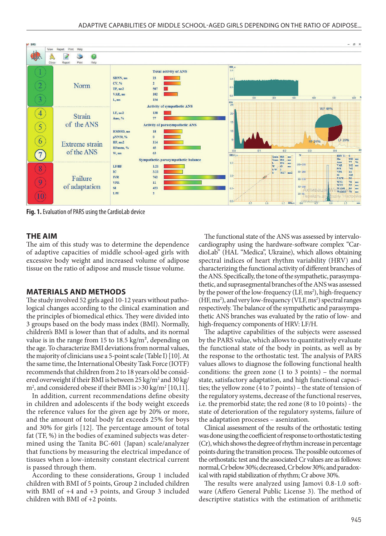

**Fig. 1.** Evaluation of PARS using the CardioLab device

#### **THE AIM**

The aim of this study was to determine the dependence of adaptive capacities of middle school-aged girls with excessive body weight and increased volume of adipose tissue on the ratio of adipose and muscle tissue volume.

#### **MATERIALS AND METHODS**

The study involved 52 girls aged 10-12 years without pathological changes according to the clinical examination and the principles of biomedical ethics. They were divided into 3 groups based on the body mass index (BMI). Normally, children's BMI is lower than that of adults, and its normal value is in the range from 15 to 18.5 kg/m<sup>2</sup>, depending on the age. To characterize BMI deviations from normal values, the majority of clinicians use a 5-point scale (Table I) [10]. At the same time, the International Obesity Task Force (IOTF) recommends that children from 2 to 18 years old be considered overweight if their BMI is between 25 kg/m<sup>2</sup> and 30 kg/  $\text{m}^2$ , and considered obese if their BMI is >30 kg/m<sup>2</sup> [10,11].

In addition, current recommendations define obesity in children and adolescents if the body weight exceeds the reference values for the given age by 20% or more, and the amount of total body fat exceeds 25% for boys and 30% for girls [12]. The percentage amount of total fat (TF, %) in the bodies of examined subjects was determined using the Tanita BC-601 (Japan) scale/analyzer that functions by measuring the electrical impedance of tissues when a low-intensity constant electrical current is passed through them.

According to these considerations, Group 1 included children with BMI of 5 points, Group 2 included children with BMI of +4 and +3 points, and Group 3 included children with BMI of +2 points.

The functional state of the ANS was assessed by intervalocardiography using the hardware-software complex "CardioLab" (HAL "Medica", Ukraine), which allows obtaining spectral indices of heart rhythm variability (HRV) and characterizing the functional activity of different branches of the ANS. Specifically, the tone of the sympathetic, parasympathetic, and suprasegmental branches of the ANS was assessed by the power of the low-frequency (LF, ms<sup>2</sup>), high-frequency (HF, ms<sup>2</sup>), and very low-frequency (VLF, ms<sup>2</sup>) spectral ranges respectively. The balance of the sympathetic and parasympathetic ANS branches was evaluated by the ratio of low- and high-frequency components of HRV: LF/H.

The adaptive capabilities of the subjects were assessed by the PARS value, which allows to quantitatively evaluate the functional state of the body in points, as well as by the response to the orthostatic test. The analysis of PARS values allows to diagnose the following functional health conditions: the green zone (1 to 3 points) – the normal state, satisfactory adaptation, and high functional capacities; the yellow zone (4 to 7 points) – the state of tension of the regulatory systems, decrease of the functional reserves, i.e. the premorbid state; the red zone (8 to 10 points) - the state of deterioration of the regulatory systems, failure of the adaptation processes – asenization.

Clinical assessment of the results of the orthostatic testing was done using the coefficient of response to orthostatic testing (Cr), which shows the degree of rhythm increase in percentage points during the transition process. The possible outcomes of the orthostatic test and the associated Cr values are as follows: normal, Cr below 30%; decreased, Cr below 30%; and paradoxical with rapid stabilization of rhythm; Cr above 30%.

The results were analyzed using Jamovi 0.8-1.0 software (Affero General Public License 3). The method of descriptive statistics with the estimation of arithmetic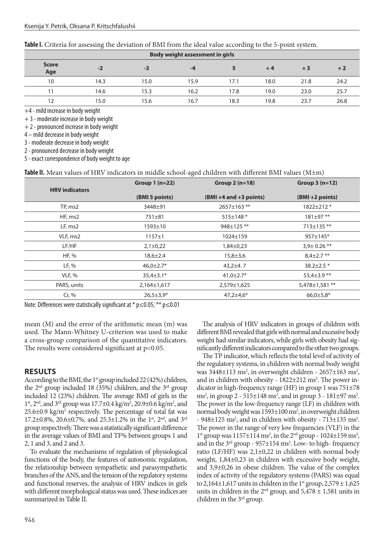| Table I. Criteria for assessing the deviation of BMI from the ideal value according to the 5-point system. |  |  |  |  |
|------------------------------------------------------------------------------------------------------------|--|--|--|--|
|------------------------------------------------------------------------------------------------------------|--|--|--|--|

| <b>Body weight assessment in girls</b> |      |      |      |      |      |      |      |
|----------------------------------------|------|------|------|------|------|------|------|
| <b>Score</b><br>Age                    | $-2$ | -3   | -4   |      | $+4$ | $+3$ | $+2$ |
| 10                                     | 14.3 | 15.0 | 15.9 | 17.1 | 18.0 | 21.8 | 24.2 |
| 11                                     | 14.6 | 15.3 | 16.2 | 17.8 | 19.0 | 23.0 | 25.7 |
| 12                                     | 15.0 | 15.6 | 16.7 | 18.3 | 19.8 | 23.7 | 26.8 |

+4 - mild increase in body weight

+ 3 - moderate increase in body weight

+ 2 - pronounced increase in body weight

4 – mild decrease in body weight

3 - moderate decrease in body weight

2 - pronounced decrease in body weight

5 - exact correspondence of body weight to age

| Table II. Mean values of HRV indicators in middle school-aged children with different BMI values ( $M \pm m$ ) |
|----------------------------------------------------------------------------------------------------------------|
|----------------------------------------------------------------------------------------------------------------|

| <b>HRV</b> indicators | Group $1(n=22)$ | Group $2(n=18)$           | Group $3(n=12)$   |
|-----------------------|-----------------|---------------------------|-------------------|
|                       | (BMI 5 points)  | $(BMI + 4 and +3 points)$ | (BMI +2 points)   |
| TP, ms2               | 3448±91         | $2657 \pm 163$ **         | $1822 \pm 212$ *  |
| HF, ms2               | 751±81          | $515 \pm 148$ *           | $181 \pm 97$ **   |
| LF, ms2               | $1593 \pm 10$   | 948±125 **                | 713±135 **        |
| VLF, ms2              | $1157 \pm 1$    | 1024±159                  | $957 \pm 145$ *   |
| LF/HF                 | $2,1\pm0,22$    | $1,84\pm0,23$             | $3,9\pm 0.26$ **  |
| HF, %                 | $18,6 \pm 2.4$  | $15,8 \pm 3,6$            | $8,4\pm2.7**$     |
| LF, %                 | $46,0{\pm}2.7*$ | $43,2+4.7$                | $38.2 \pm 2.5$ *  |
| VLF, %                | $35,4 \pm 3.1*$ | $41,0\pm2.7*$             | 53,4 $\pm$ 3.9 ** |
| PARS, units           | $2,164\pm1,617$ | 2,579±1,625               | 5,478±1,581 **    |
| Cr, %                 | $26,5 \pm 3,9*$ | $47,2 \pm 4,6*$           | $66,0{\pm}5,8*$   |

Note: Differences were statistically significant at \* p≤0.05; \*\* p≤0.01

mean (M) and the error of the arithmetic mean (m) was used. The Mann-Whitney U-criterion was used to make a cross-group comparison of the quantitative indicators. The results were considered significant at p<0.05.

#### **RESULTS**

According to the BMI, the  $1<sup>st</sup>$  group included 22 (42%) children, the  $2<sup>nd</sup>$  group included 18 (35%) children, and the  $3<sup>rd</sup>$  group included 12 (23%) children. The average BMI of girls in the 1<sup>st</sup>, 2<sup>nd</sup>, and 3<sup>rd</sup> group was 17.7±0.4 kg/m<sup>2</sup>, 20.9±0.6 kg/m<sup>2</sup>, and 25.6±0.9 kg/m<sup>2</sup> respectively. The percentage of total fat was 17.2 $\pm$ 0.8%, 20.6 $\pm$ 0.7%, and 25.3 $\pm$ 1.2% in the 1<sup>st</sup>, 2<sup>nd</sup>, and 3<sup>rd</sup> group respectively. There was a statistically significant difference in the average values of BMI and TF% between groups 1 and 2, 1 and 3, and 2 and 3.

To evaluate the mechanisms of regulation of physiological functions of the body, the features of autonomic regulation, the relationship between sympathetic and parasympathetic branches of the ANS, and the tension of the regulatory systems and functional reserves, the analysis of HRV indices in girls with different morphological status was used. These indices are summarized in Table II.

The analysis of HRV indicators in groups of children with different BMI revealed that girls with normal and excessive body weight had similar indicators, while girls with obesity had significantly different indicators compared to the other two groups.

The TP indicator, which reflects the total level of activity of the regulatory systems, in children with normal body weight was 3448±113 ms<sup>2</sup>, in overweight children - 2657±163 ms<sup>2</sup>, and in children with obesity - 1822±212 ms<sup>2</sup>. The power indicator in high-frequency range (HF) in group 1 was 751±78 ms<sup>2</sup>, in group 2 - 515±148 ms<sup>2</sup>, and in group 3 - 181±97 ms<sup>2</sup>. The power in the low-frequency range (LF) in children with normal body weight was 1593±100 ms<sup>2</sup>, in overweight children  $-948\pm125$  ms<sup>2</sup>, and in children with obesity  $-713\pm135$  ms<sup>2</sup>. The power in the range of very low frequencies (VLF) in the 1<sup>st</sup> group was  $1157 \pm 114$  ms<sup>2</sup>, in the 2<sup>nd</sup> group -  $1024 \pm 159$  ms<sup>2</sup>, and in the  $3<sup>rd</sup>$  group - 957 $\pm$ 154 ms<sup>2</sup>. Low- to high-frequency ratio (LF/HF) was  $2,1\pm0,22$  in children with normal body weight, 1,84±0,23 in children with excessive body weight, and 3,9±0,26 in obese children. The value of the complex index of activity of the regulatory systems (PARS) was equal to 2,164 $\pm$ 1,617 units in children in the 1<sup>st</sup> group, 2,579  $\pm$  1,625 units in children in the  $2<sup>nd</sup>$  group, and  $5,478 \pm 1,581$  units in children in the 3rd group.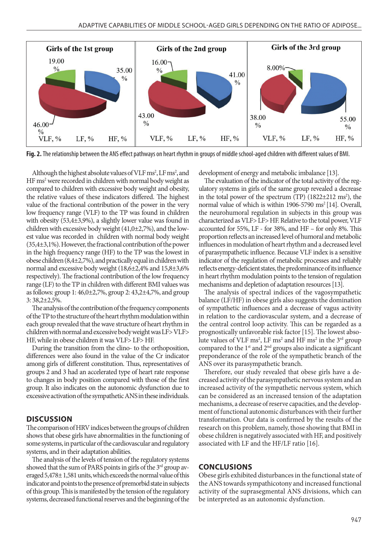

**Fig. 2.** The relationship between the ANS effect pathways on heart rhythm in groups of middle school-aged children with different values of BMI.

Although the highest absolute values of VLF ms<sup>2</sup>, LF ms<sup>2</sup>, and HF ms<sup>2</sup> were recorded in children with normal body weight as compared to children with excessive body weight and obesity, the relative values of these indicators differed. The highest value of the fractional contribution of the power in the very low frequency range (VLF) to the TP was found in children with obesity (53,4±3,9%), a slightly lower value was found in children with excessive body weight (41,0±2,7%), and the lowest value was recorded in children with normal body weight (35,4±3,1%). However, the fractional contribution of the power in the high frequency range (HF) to the TP was the lowest in obese children (8,4±2,7%), and practically equal in children with normal and excessive body weight (18,6±2,4% and 15,8±3,6% respectively). The fractional contribution of the low frequency range (LF) to the TP in children with different BMI values was as follows: group  $1: 46,0 \pm 2,7\%$ , group  $2: 43,2 \pm 4,7\%$ , and group 3: 38,2±2,5%.

The analysis of the contribution of the frequency components of the TP to the structure of the heart rhythm modulation within each group revealed that the wave structure of heart rhythm in children with normal and excessive body weight was LF> VLF> HF, while in obese children it was VLF> LF> HF.

During the transition from the clino- to the orthoposition, differences were also found in the value of the Cr indicator among girls of different constitution. Thus, representatives of groups 2 and 3 had an accelerated type of heart rate response to changes in body position compared with those of the first group. It also indicates on the autonomic dysfunction due to excessive activation of the sympathetic ANS in these individuals.

# **DISCUSSION**

The comparison of HRV indices between the groups of children shows that obese girls have abnormalities in the functioning of some systems, in particular of the cardiovascular and regulatory systems, and in their adaptation abilities.

The analysis of the levels of tension of the regulatory systems showed that the sum of PARS points in girls of the 3<sup>rd</sup> group averaged 5,478± 1,581 units, which exceeds the normal value of this indicator and points to the presence of premorbid state in subjects of this group. This is manifested by the tension of the regulatory systems, decreased functional reserves and the beginning of the development of energy and metabolic imbalance [13].

The evaluation of the indicator of the total activity of the regulatory systems in girls of the same group revealed a decrease in the total power of the spectrum (TP) (1822±212 ms2 ), the normal value of which is within 1906-5790 ms<sup>2</sup> [14]. Overall, the neurohumoral regulation in subjects in this group was characterized as VLF> LF> HF. Relative to the total power, VLF accounted for 55%, LF - for 38%, and HF – for only 8%. This proportion reflects an increased level of humoral and metabolic influences in modulation of heart rhythm and a decreased level of parasympathetic influence. Because VLF index is a sensitive indicator of the regulation of metabolic processes and reliably reflects energy-deficient states, the predominance of its influence in heart rhythm modulation points to the tension of regulation mechanisms and depletion of adaptation resources [13].

The analysis of spectral indices of the vagosympathetic balance (LF/HF) in obese girls also suggests the domination of sympathetic influences and a decrease of vagus activity in relation to the cardiovascular system, and a decrease of the central control loop activity. This can be regarded as a prognostically unfavorable risk factor [15]. The lowest absolute values of VLF ms<sup>2</sup>, LF ms<sup>2</sup> and HF ms<sup>2</sup> in the 3<sup>rd</sup> group compared to the  $1<sup>st</sup>$  and  $2<sup>nd</sup>$  groups also indicate a significant preponderance of the role of the sympathetic branch of the ANS over its parasympathetic branch.

Therefore, our study revealed that obese girls have a decreased activity of the parasympathetic nervous system and an increased activity of the sympathetic nervous system, which can be considered as an increased tension of the adaptation mechanisms, a decrease of reserve capacities, and the development of functional autonomic disturbances with their further transformation. Our data is confirmed by the results of the research on this problem, namely, those showing that BMI in obese children is negatively associated with HF, and positively associated with LF and the HF/LF ratio [16].

# **CONCLUSIONS**

Obese girls exhibited disturbances in the functional state of the ANS towards sympathicotony and increased functional activity of the suprasegmental ANS divisions, which can be interpreted as an autonomic dysfunction.